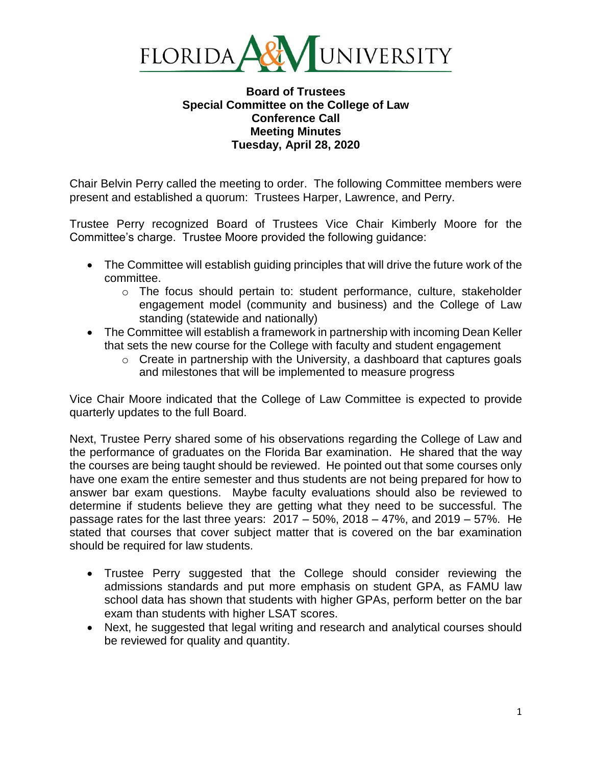

## **Board of Trustees Special Committee on the College of Law Conference Call Meeting Minutes Tuesday, April 28, 2020**

Chair Belvin Perry called the meeting to order. The following Committee members were present and established a quorum: Trustees Harper, Lawrence, and Perry.

Trustee Perry recognized Board of Trustees Vice Chair Kimberly Moore for the Committee's charge. Trustee Moore provided the following guidance:

- The Committee will establish guiding principles that will drive the future work of the committee.
	- o The focus should pertain to: student performance, culture, stakeholder engagement model (community and business) and the College of Law standing (statewide and nationally)
- The Committee will establish a framework in partnership with incoming Dean Keller that sets the new course for the College with faculty and student engagement
	- $\circ$  Create in partnership with the University, a dashboard that captures goals and milestones that will be implemented to measure progress

Vice Chair Moore indicated that the College of Law Committee is expected to provide quarterly updates to the full Board.

Next, Trustee Perry shared some of his observations regarding the College of Law and the performance of graduates on the Florida Bar examination. He shared that the way the courses are being taught should be reviewed. He pointed out that some courses only have one exam the entire semester and thus students are not being prepared for how to answer bar exam questions. Maybe faculty evaluations should also be reviewed to determine if students believe they are getting what they need to be successful. The passage rates for the last three years: 2017 – 50%, 2018 – 47%, and 2019 – 57%. He stated that courses that cover subject matter that is covered on the bar examination should be required for law students.

- Trustee Perry suggested that the College should consider reviewing the admissions standards and put more emphasis on student GPA, as FAMU law school data has shown that students with higher GPAs, perform better on the bar exam than students with higher LSAT scores.
- Next, he suggested that legal writing and research and analytical courses should be reviewed for quality and quantity.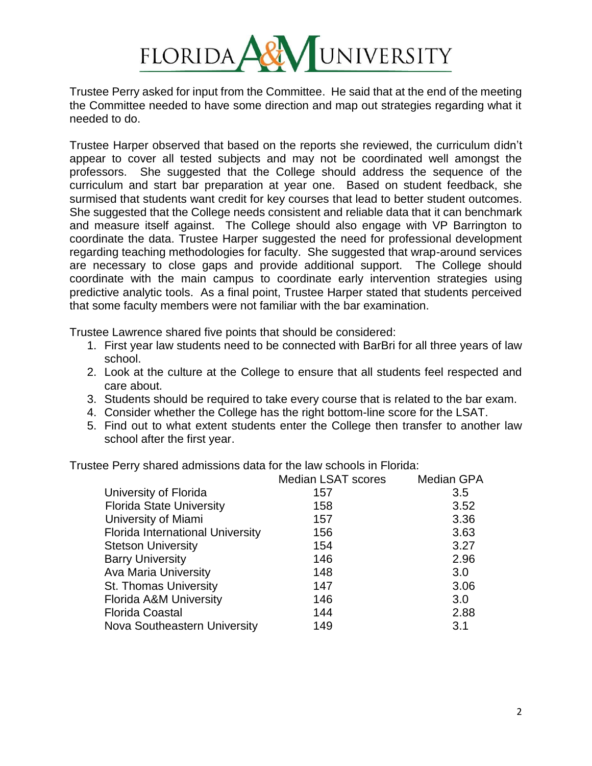

Trustee Perry asked for input from the Committee. He said that at the end of the meeting the Committee needed to have some direction and map out strategies regarding what it needed to do.

Trustee Harper observed that based on the reports she reviewed, the curriculum didn't appear to cover all tested subjects and may not be coordinated well amongst the professors. She suggested that the College should address the sequence of the curriculum and start bar preparation at year one. Based on student feedback, she surmised that students want credit for key courses that lead to better student outcomes. She suggested that the College needs consistent and reliable data that it can benchmark and measure itself against. The College should also engage with VP Barrington to coordinate the data. Trustee Harper suggested the need for professional development regarding teaching methodologies for faculty. She suggested that wrap-around services are necessary to close gaps and provide additional support. The College should coordinate with the main campus to coordinate early intervention strategies using predictive analytic tools. As a final point, Trustee Harper stated that students perceived that some faculty members were not familiar with the bar examination.

Trustee Lawrence shared five points that should be considered:

- 1. First year law students need to be connected with BarBri for all three years of law school.
- 2. Look at the culture at the College to ensure that all students feel respected and care about.
- 3. Students should be required to take every course that is related to the bar exam.
- 4. Consider whether the College has the right bottom-line score for the LSAT.
- 5. Find out to what extent students enter the College then transfer to another law school after the first year.

Trustee Perry shared admissions data for the law schools in Florida:

|                                         | <b>Median LSAT scores</b> | <b>Median GPA</b> |
|-----------------------------------------|---------------------------|-------------------|
| University of Florida                   | 157                       | 3.5               |
| <b>Florida State University</b>         | 158                       | 3.52              |
| University of Miami                     | 157                       | 3.36              |
| <b>Florida International University</b> | 156                       | 3.63              |
| <b>Stetson University</b>               | 154                       | 3.27              |
| <b>Barry University</b>                 | 146                       | 2.96              |
| <b>Ava Maria University</b>             | 148                       | 3.0               |
| <b>St. Thomas University</b>            | 147                       | 3.06              |
| <b>Florida A&amp;M University</b>       | 146                       | 3.0               |
| <b>Florida Coastal</b>                  | 144                       | 2.88              |
| Nova Southeastern University            | 149                       | 3.1               |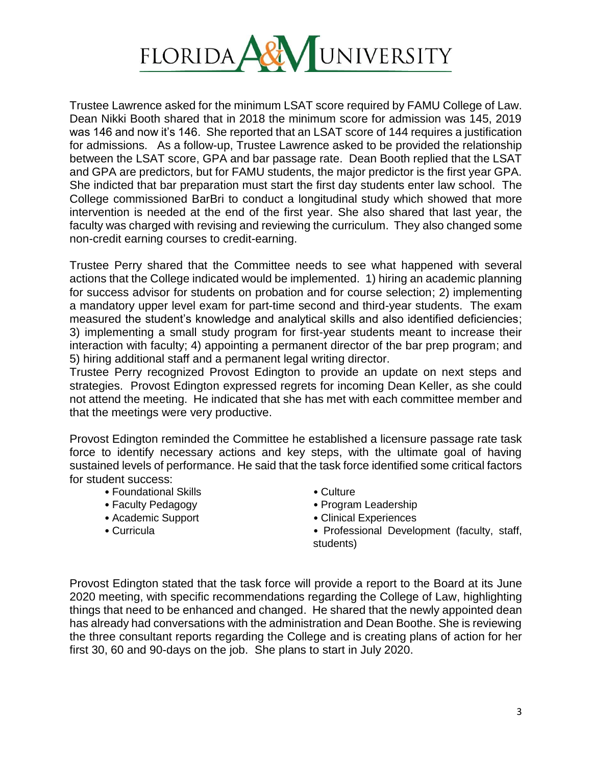

Trustee Lawrence asked for the minimum LSAT score required by FAMU College of Law. Dean Nikki Booth shared that in 2018 the minimum score for admission was 145, 2019 was 146 and now it's 146. She reported that an LSAT score of 144 requires a justification for admissions. As a follow-up, Trustee Lawrence asked to be provided the relationship between the LSAT score, GPA and bar passage rate. Dean Booth replied that the LSAT and GPA are predictors, but for FAMU students, the major predictor is the first year GPA. She indicted that bar preparation must start the first day students enter law school. The College commissioned BarBri to conduct a longitudinal study which showed that more intervention is needed at the end of the first year. She also shared that last year, the faculty was charged with revising and reviewing the curriculum. They also changed some non-credit earning courses to credit-earning.

Trustee Perry shared that the Committee needs to see what happened with several actions that the College indicated would be implemented. 1) hiring an academic planning for success advisor for students on probation and for course selection; 2) implementing a mandatory upper level exam for part-time second and third-year students. The exam measured the student's knowledge and analytical skills and also identified deficiencies; 3) implementing a small study program for first-year students meant to increase their interaction with faculty; 4) appointing a permanent director of the bar prep program; and 5) hiring additional staff and a permanent legal writing director.

Trustee Perry recognized Provost Edington to provide an update on next steps and strategies. Provost Edington expressed regrets for incoming Dean Keller, as she could not attend the meeting. He indicated that she has met with each committee member and that the meetings were very productive.

Provost Edington reminded the Committee he established a licensure passage rate task force to identify necessary actions and key steps, with the ultimate goal of having sustained levels of performance. He said that the task force identified some critical factors for student success:

- Foundational Skills Culture
- 
- 
- 
- 
- Faculty Pedagogy  **Program Leadership**
- Academic Support Clinical Experiences
- Curricula **Professional Development (faculty, staff,** students)

Provost Edington stated that the task force will provide a report to the Board at its June 2020 meeting, with specific recommendations regarding the College of Law, highlighting things that need to be enhanced and changed. He shared that the newly appointed dean has already had conversations with the administration and Dean Boothe. She is reviewing the three consultant reports regarding the College and is creating plans of action for her first 30, 60 and 90-days on the job. She plans to start in July 2020.